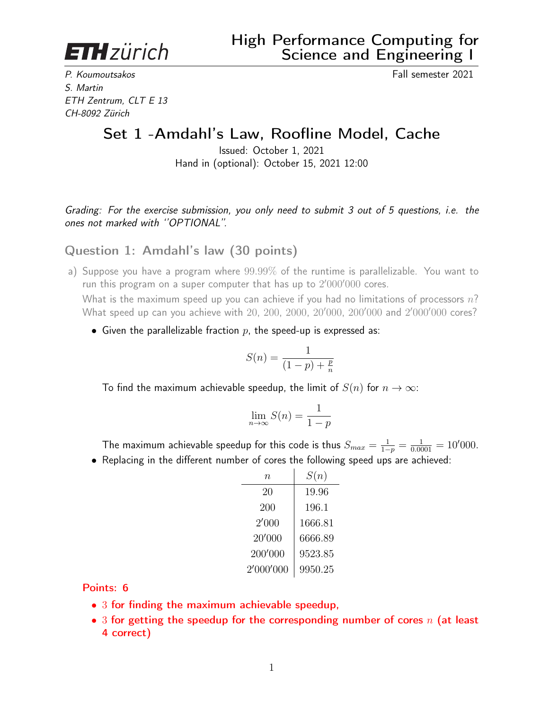<span id="page-0-0"></span>**ETH** zürich

P. Koumoutsakos Fall semester 2021 S. Martin ETH Zentrum, CLT E 13 CH-8092 Zürich

# Set 1 -Amdahl's Law, Roofline Model, Cache

Issued: October 1, 2021 Hand in (optional): October 15, 2021 12:00

Grading: For the exercise submission, you only need to submit 3 out of 5 questions, i.e. the ones not marked with ''OPTIONAL".

Question 1: Amdahl's law (30 points)

- a) Suppose you have a program where 99.99% of the runtime is parallelizable. You want to run this program on a super computer that has up to  $2'000'000$  cores. What is the maximum speed up you can achieve if you had no limitations of processors  $n$ ? What speed up can you achieve with 20, 200, 2000, 20'000, 200'000 and 2'000'000 cores?
	- Given the parallelizable fraction  $p$ , the speed-up is expressed as:

$$
S(n) = \frac{1}{(1-p) + \frac{p}{n}}
$$

To find the maximum achievable speedup, the limit of  $S(n)$  for  $n \to \infty$ :

$$
\lim_{n \to \infty} S(n) = \frac{1}{1 - p}
$$

The maximum achievable speedup for this code is thus  $S_{max} = \frac{1}{1-p} = \frac{1}{0.0001} = 10'000.$ • Replacing in the different number of cores the following speed ups are achieved:

| n         | S(n)    |
|-----------|---------|
| 20        | 19.96   |
| 200       | 196.1   |
| 2'000     | 1666.81 |
| 20'000    | 6666.89 |
| 200'000   | 9523.85 |
| 2'000'000 | 9950.25 |

Points: 6

- 3 for finding the maximum achievable speedup,
- 3 for getting the speedup for the corresponding number of cores  $n$  (at least 4 correct)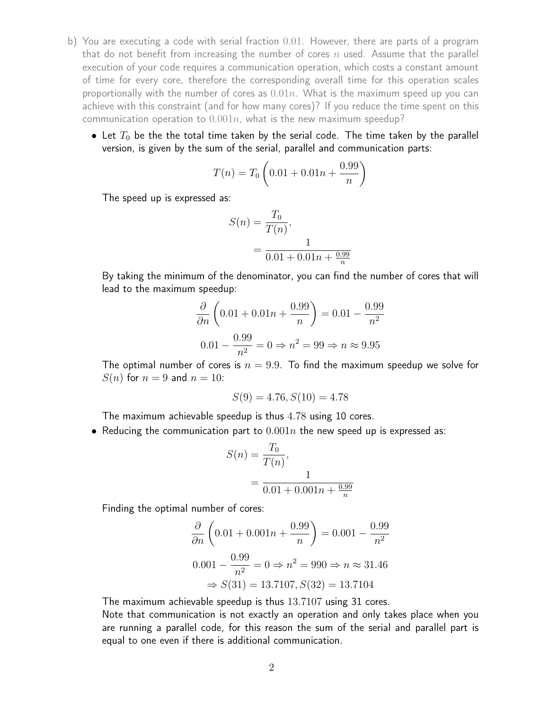b) You are executing a code with serial fraction 0.01. However, there are parts of a program that do not benefit from increasing the number of cores  $n$  used. Assume that the parallel execution of your code requires a communication operation, which costs a constant amount of time for every core, therefore the corresponding overall time for this operation scales proportionally with the number of cores as  $0.01n$ . What is the maximum speed up you can achieve with this constraint (and for how many cores)? If you reduce the time spent on this communication operation to  $0.001n$ , what is the new maximum speedup?

• Let  $T_0$  be the the total time taken by the serial code. The time taken by the parallel version, is given by the sum of the serial, parallel and communication parts:

$$
T(n) = T_0 \left( 0.01 + 0.01n + \frac{0.99}{n} \right)
$$

The speed up is expressed as:

$$
S(n) = \frac{T_0}{T(n)},
$$
  
= 
$$
\frac{1}{0.01 + 0.01n + \frac{0.99}{n}}
$$

By taking the minimum of the denominator, you can find the number of cores that will lead to the maximum speedup:

$$
\frac{\partial}{\partial n} \left( 0.01 + 0.01n + \frac{0.99}{n} \right) = 0.01 - \frac{0.99}{n^2}
$$

$$
0.01 - \frac{0.99}{n^2} = 0 \Rightarrow n^2 = 99 \Rightarrow n \approx 9.95
$$

The optimal number of cores is  $n = 9.9$ . To find the maximum speedup we solve for  $S(n)$  for  $n = 9$  and  $n = 10$ :

$$
S(9) = 4.76, S(10) = 4.78
$$

The maximum achievable speedup is thus 4.78 using 10 cores.

• Reducing the communication part to  $0.001n$  the new speed up is expressed as:

$$
S(n) = \frac{T_0}{T(n)},
$$
  
= 
$$
\frac{1}{0.01 + 0.001n + \frac{0.99}{n}}
$$

n

Finding the optimal number of cores:

$$
\frac{\partial}{\partial n} \left( 0.01 + 0.001n + \frac{0.99}{n} \right) = 0.001 - \frac{0.99}{n^2}
$$
  
0.001 -  $\frac{0.99}{n^2} = 0 \Rightarrow n^2 = 990 \Rightarrow n \approx 31.46$   
 $\Rightarrow S(31) = 13.7107, S(32) = 13.7104$ 

The maximum achievable speedup is thus 13.7107 using 31 cores.

Note that communication is not exactly an operation and only takes place when you are running a parallel code, for this reason the sum of the serial and parallel part is equal to one even if there is additional communication.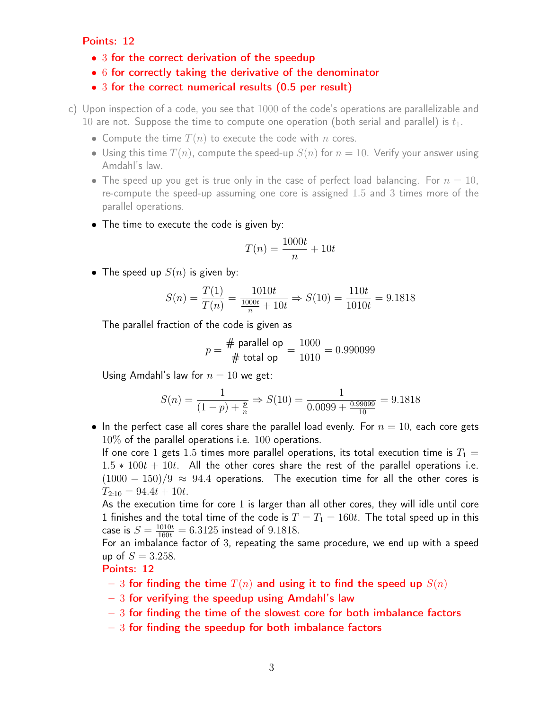Points: 12

- 3 for the correct derivation of the speedup
- 6 for correctly taking the derivative of the denominator
- 3 for the correct numerical results (0.5 per result)

c) Upon inspection of a code, you see that 1000 of the code's operations are parallelizable and 10 are not. Suppose the time to compute one operation (both serial and parallel) is  $t_1$ .

- Compute the time  $T(n)$  to execute the code with n cores.
- Using this time  $T(n)$ , compute the speed-up  $S(n)$  for  $n = 10$ . Verify your answer using Amdahl's law.
- The speed up you get is true only in the case of perfect load balancing. For  $n = 10$ , re-compute the speed-up assuming one core is assigned 1.5 and 3 times more of the parallel operations.
- The time to execute the code is given by:

$$
T(n) = \frac{1000t}{n} + 10t
$$

• The speed up  $S(n)$  is given by:

$$
S(n) = \frac{T(1)}{T(n)} = \frac{1010t}{\frac{1000t}{n} + 10t} \Rightarrow S(10) = \frac{110t}{1010t} = 9.1818
$$

The parallel fraction of the code is given as

$$
p = \frac{\text{# parallel op}}{\text{# total op}} = \frac{1000}{1010} = 0.990099
$$

Using Amdahl's law for  $n = 10$  we get:

$$
S(n) = \frac{1}{(1-p) + \frac{p}{n}} \Rightarrow S(10) = \frac{1}{0.0099 + \frac{0.99099}{10}} = 9.1818
$$

• In the perfect case all cores share the parallel load evenly. For  $n = 10$ , each core gets  $10\%$  of the parallel operations i.e.  $100$  operations.

If one core 1 gets 1.5 times more parallel operations, its total execution time is  $T_1 =$  $1.5 * 100t + 10t$ . All the other cores share the rest of the parallel operations i.e.  $(1000 - 150)/9 \approx 94.4$  operations. The execution time for all the other cores is  $T_{2:10} = 94.4t + 10t.$ 

As the execution time for core 1 is larger than all other cores, they will idle until core 1 finishes and the total time of the code is  $T = T_1 = 160t$ . The total speed up in this case is  $S = \frac{1010t}{160t} = 6.3125$  instead of  $9.1818$ .

For an imbalance factor of 3, repeating the same procedure, we end up with a speed up of  $S = 3.258$ .

Points: 12

- 3 for finding the time  $T(n)$  and using it to find the speed up  $S(n)$
- $-3$  for verifying the speedup using Amdahl's law
- $-3$  for finding the time of the slowest core for both imbalance factors
- $-3$  for finding the speedup for both imbalance factors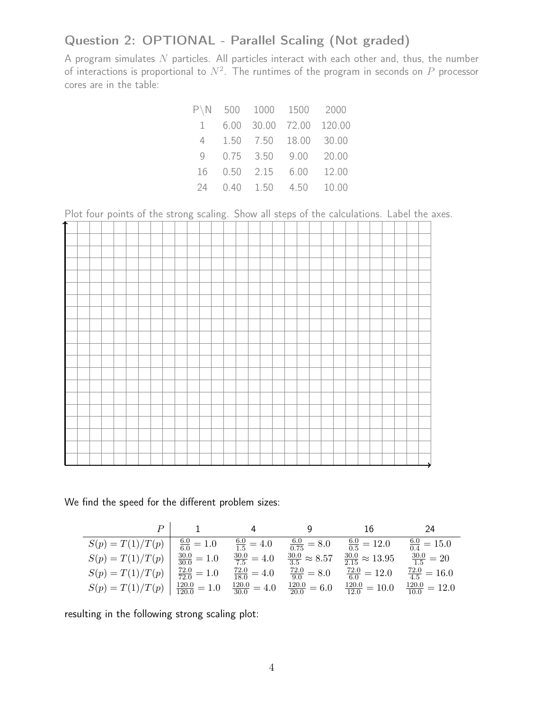### Question 2: OPTIONAL - Parallel Scaling (Not graded)

A program simulates  $N$  particles. All particles interact with each other and, thus, the number of interactions is proportional to  $N^2$ . The runtimes of the program in seconds on  $P$  processor cores are in the table:

| $P \setminus N$ | 500  | 1000  | 1500  | 2000   |
|-----------------|------|-------|-------|--------|
| $\mathbb{1}$    | 6.00 | 30.00 | 72.00 | 120.00 |
| 4               | 1.50 | 7.50  | 18.00 | 30.00  |
| Q               | 0.75 | 3.50  | 9.00  | 20.00  |
| 16              | 0.50 | 2.15  | 6.00  | 12.00  |
| 24              | 0.40 | 1.50  | 4.50  | 10.00  |

Plot four points of the strong scaling. Show all steps of the calculations. Label the axes.



We find the speed for the different problem sizes:

|                    |                             | 4                          |                                 |                                   | 24                          |
|--------------------|-----------------------------|----------------------------|---------------------------------|-----------------------------------|-----------------------------|
| $S(p) = T(1)/T(p)$ | $\frac{6.0}{6.0} = 1.0$     | $\frac{6.0}{1.5} = 4.0$    | $\frac{6.0}{0.75} = 8.0$        | $\frac{6.0}{0.5} = 12.0$          | $\frac{6.0}{0.4} = 15.0$    |
| $S(p) = T(1)/T(p)$ | $\frac{30.0}{30.0} = 1.0$   | $\frac{30.0}{7.5} = 4.0$   | $\frac{30.0}{3.5} \approx 8.57$ | $\frac{30.0}{2.15} \approx 13.95$ | $\frac{30.0}{1.5} = 20$     |
| $S(p) = T(1)/T(p)$ | $\frac{72.0}{72.0} = 1.0$   | $\frac{72.0}{18.0} = 4.0$  | $\frac{72.0}{9.0} = 8.0$        | $\frac{72.0}{6.0} = 12.0$         | $\frac{72.0}{4.5} = 16.0$   |
| $S(p) = T(1)/T(p)$ | $\frac{120.0}{120.0} = 1.0$ | $\frac{120.0}{30.0} = 4.0$ | $\frac{120.0}{20.0} = 6.0$      | $\frac{120.0}{12.0} = 10.0$       | $\frac{120.0}{10.0} = 12.0$ |

resulting in the following strong scaling plot: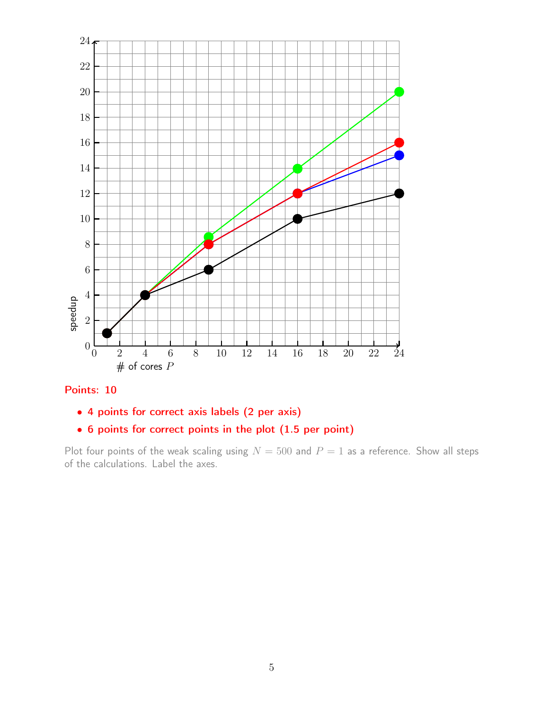



- 4 points for correct axis labels (2 per axis)
- 6 points for correct points in the plot (1.5 per point)

Plot four points of the weak scaling using  $N = 500$  and  $P = 1$  as a reference. Show all steps of the calculations. Label the axes.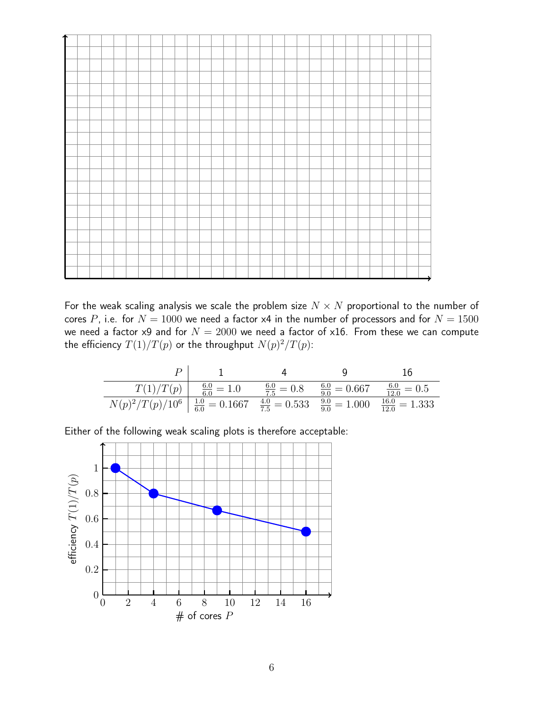

For the weak scaling analysis we scale the problem size  $N \times N$  proportional to the number of cores P, i.e. for  $N = 1000$  we need a factor x4 in the number of processors and for  $N = 1500$ we need a factor x9 and for  $N = 2000$  we need a factor of x16. From these we can compute the efficiency  $T(1)/T(p)$  or the throughput  $N(p)^2/T(p)$ :

|                                                                                                                               |                                     |                                                                            | 16 |
|-------------------------------------------------------------------------------------------------------------------------------|-------------------------------------|----------------------------------------------------------------------------|----|
|                                                                                                                               | $T(1)/T(p)$ $\frac{6.0}{6.0} = 1.0$ | $\frac{6.0}{7.5} = 0.8$ $\frac{6.0}{9.0} = 0.667$ $\frac{6.0}{12.0} = 0.5$ |    |
| $N(p)^2/T(p)/10^6$ $\frac{1.0}{6.0} = 0.1667$ $\frac{4.0}{7.5} = 0.533$ $\frac{9.0}{9.0} = 1.000$ $\frac{16.0}{12.0} = 1.333$ |                                     |                                                                            |    |

Either of the following weak scaling plots is therefore acceptable:

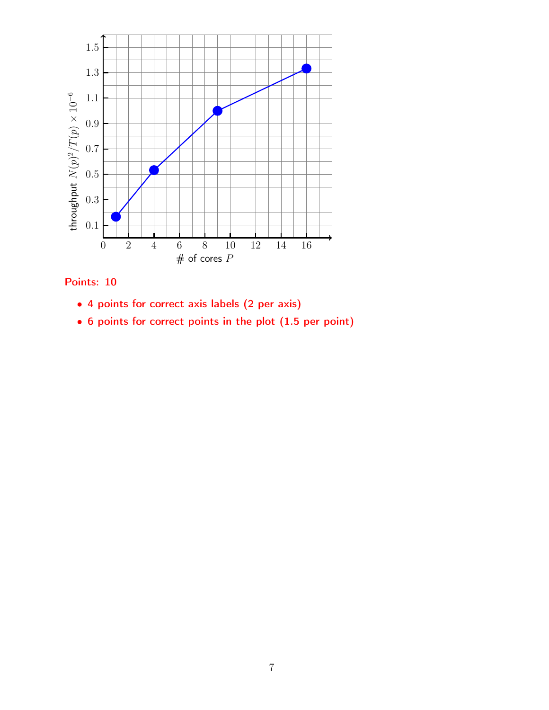



- 4 points for correct axis labels (2 per axis)
- 6 points for correct points in the plot (1.5 per point)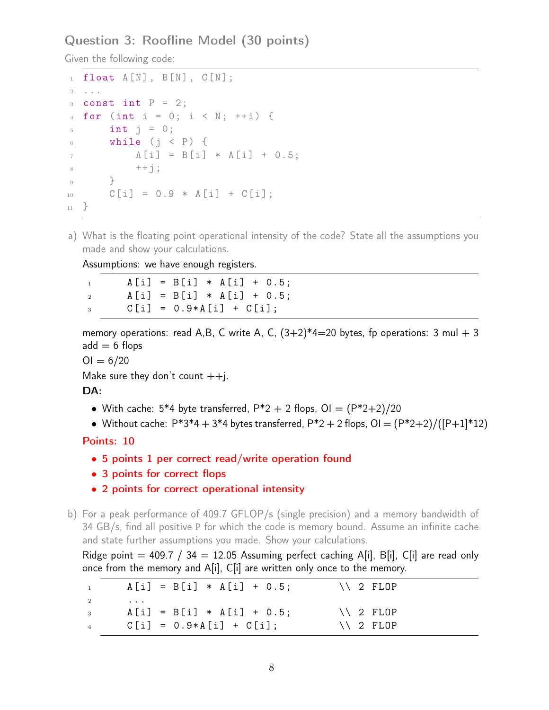### Question 3: Roofline Model (30 points)

Given the following code:

```
1 float A[N], B[N], C[N];
2 ...
3 const int P = 2;
  for (int i = 0; i < N; ++i) {
      \text{int } j = 0;
6 while (j < P) {
          A[i] = B[i] * A[i] + 0.5;8 + 1;
9 }
10 C[i] = 0.9 * A[i] + C[i];11 }
```
a) What is the floating point operational intensity of the code? State all the assumptions you made and show your calculations.

Assumptions: we have enough registers.

 $A[i] = B[i] * A[i] + 0.5;$  $A[i] = B[i] * A[i] + 0.5;$ 3  $C[i] = 0.9*A[i] + C[i];$ 

memory operations: read A,B, C write A, C,  $(3+2)*4=20$  bytes, fp operations: 3 mul + 3  $add = 6$  flops

 $OI = 6/20$ 

Make sure they don't count  $++i$ .

DA:

- With cache: 5\*4 byte transferred,  $P^*2 + 2$  flops,  $OI = (P^*2+2)/20$
- Without cache:  $P^*3^*4 + 3^*4$  bytes transferred,  $P^*2 + 2$  flops,  $OI = (P^*2 + 2)/([P+1]^*12)$

Points: 10

- 5 points 1 per correct read/write operation found
- 3 points for correct flops
- 2 points for correct operational intensity
- b) For a peak performance of 409.7 GFLOP/s (single precision) and a memory bandwidth of 34 GB/s, find all positive P for which the code is memory bound. Assume an infinite cache and state further assumptions you made. Show your calculations.

Ridge point  $= 409.7 / 34 = 12.05$  Assuming perfect caching A[i], B[i], C[i] are read only once from the memory and A[i], C[i] are written only once to the memory.

| 1            | $A[i] = B[i] * A[i] + 0.5;$ | \\ 2 FLOP          |  |
|--------------|-----------------------------|--------------------|--|
| 2            | $\cdots$                    |                    |  |
| $\mathbf{3}$ | $A[i] = B[i] * A[i] + 0.5;$ | $\setminus$ 2 FLOP |  |
| 4            | $C[i] = 0.9*A[i] + C[i];$   | $\setminus$ 2 FLOP |  |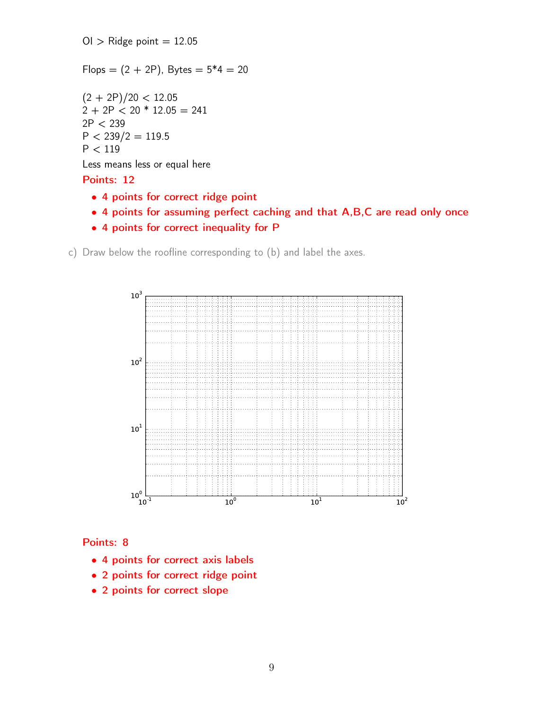$Ol >$  Ridge point = 12.05 Flops =  $(2 + 2P)$ , Bytes =  $5*4 = 20$  $(2 + 2P)/20 < 12.05$  $2 + 2P < 20 * 12.05 = 241$  $2P < 239$  $P < 239/2 = 119.5$  $P < 119$ Less means less or equal here Points: 12 • 4 points for correct ridge point

- 4 points for assuming perfect caching and that A,B,C are read only once
- 4 points for correct inequality for P

c) Draw below the roofline corresponding to (b) and label the axes.



#### Points: 8

- 4 points for correct axis labels
- 2 points for correct ridge point
- 2 points for correct slope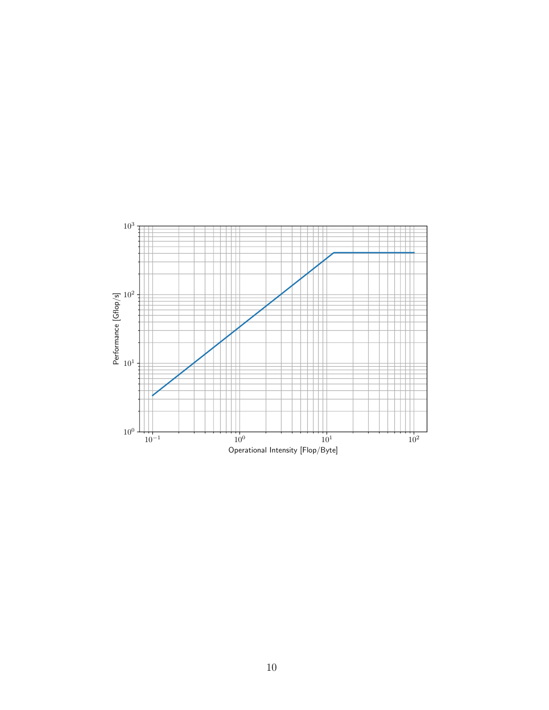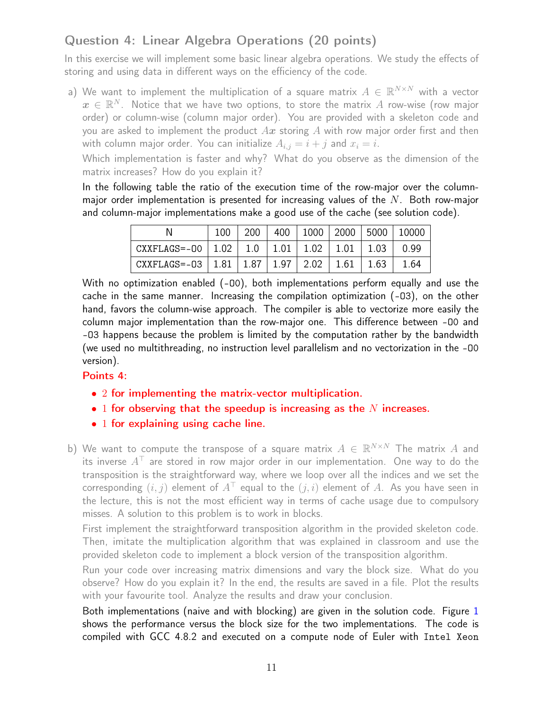## Question 4: Linear Algebra Operations (20 points)

In this exercise we will implement some basic linear algebra operations. We study the effects of storing and using data in different ways on the efficiency of the code.

a) We want to implement the multiplication of a square matrix  $A \in \mathbb{R}^{N \times N}$  with a vector  $x \in \mathbb{R}^N$ . Notice that we have two options, to store the matrix  $A$  row-wise (row major order) or column-wise (column major order). You are provided with a skeleton code and you are asked to implement the product  $Ax$  storing A with row major order first and then with column major order. You can initialize  $A_{i,j} = i + j$  and  $x_i = i$ .

Which implementation is faster and why? What do you observe as the dimension of the matrix increases? How do you explain it?

In the following table the ratio of the execution time of the row-major over the columnmajor order implementation is presented for increasing values of the  $N$ . Both row-major and column-major implementations make a good use of the cache (see solution code).

|                                                              | $100 \mid 200$ |  |  | 400   1000   2000   5000   10000 |
|--------------------------------------------------------------|----------------|--|--|----------------------------------|
| CXXFLAGS=-00   1.02   1.0   1.01   1.02   1.01   1.03   0.99 |                |  |  |                                  |
| CXXFLAGS=-03   1.81   1.87   1.97   2.02   1.61   1.63       |                |  |  | 1.64                             |

With no optimization enabled (-00), both implementations perform equally and use the cache in the same manner. Increasing the compilation optimization (-O3), on the other hand, favors the column-wise approach. The compiler is able to vectorize more easily the column major implementation than the row-major one. This difference between -O0 and -O3 happens because the problem is limited by the computation rather by the bandwidth (we used no multithreading, no instruction level parallelism and no vectorization in the -O0 version).

#### Points 4:

- 2 for implementing the matrix-vector multiplication.
- 1 for observing that the speedup is increasing as the  $N$  increases.
- 1 for explaining using cache line.
- b) We want to compute the transpose of a square matrix  $A \in \mathbb{R}^{N \times N}$  The matrix  $A$  and its inverse  $A<sup>T</sup>$  are stored in row major order in our implementation. One way to do the transposition is the straightforward way, where we loop over all the indices and we set the corresponding  $(i, j)$  element of  $A<sup>T</sup>$  equal to the  $(j, i)$  element of A. As you have seen in the lecture, this is not the most efficient way in terms of cache usage due to compulsory misses. A solution to this problem is to work in blocks.

First implement the straightforward transposition algorithm in the provided skeleton code. Then, imitate the multiplication algorithm that was explained in classroom and use the provided skeleton code to implement a block version of the transposition algorithm.

Run your code over increasing matrix dimensions and vary the block size. What do you observe? How do you explain it? In the end, the results are saved in a file. Plot the results with your favourite tool. Analyze the results and draw your conclusion.

Both implementations (naive and with blocking) are given in the solution code. Figure [1](#page-11-0) shows the performance versus the block size for the two implementations. The code is compiled with GCC 4.8.2 and executed on a compute node of Euler with Intel Xeon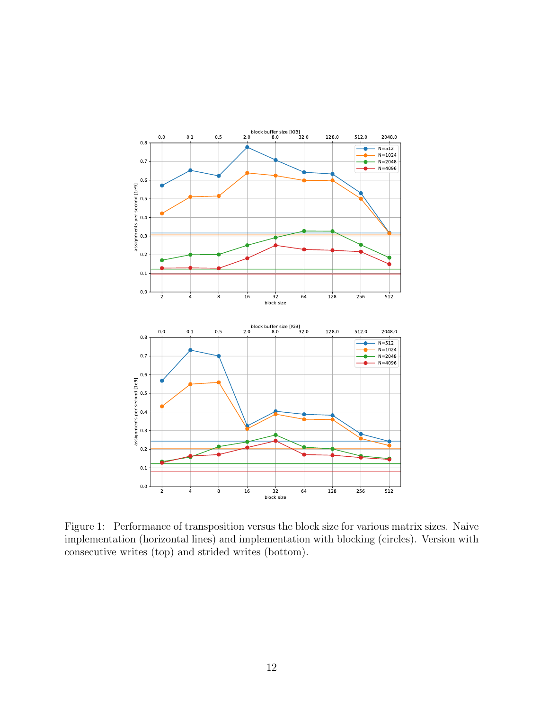

<span id="page-11-0"></span>Figure 1: Performance of transposition versus the block size for various matrix sizes. Naive implementation (horizontal lines) and implementation with blocking (circles). Version with consecutive writes (top) and strided writes (bottom).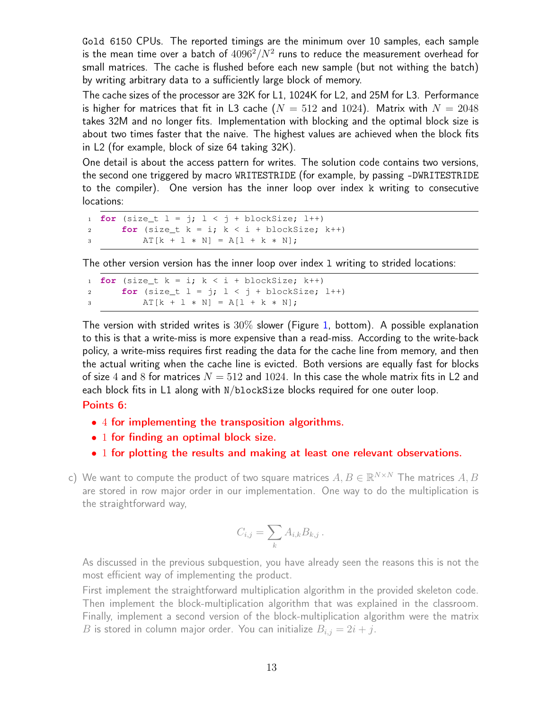Gold 6150 CPUs. The reported timings are the minimum over 10 samples, each sample is the mean time over a batch of  $4096^2/N^2$  runs to reduce the measurement overhead for small matrices. The cache is flushed before each new sample (but not withing the batch) by writing arbitrary data to a sufficiently large block of memory.

The cache sizes of the processor are 32K for L1, 1024K for L2, and 25M for L3. Performance is higher for matrices that fit in L3 cache ( $N = 512$  and 1024). Matrix with  $N = 2048$ takes 32M and no longer fits. Implementation with blocking and the optimal block size is about two times faster that the naive. The highest values are achieved when the block fits in L2 (for example, block of size 64 taking 32K).

One detail is about the access pattern for writes. The solution code contains two versions, the second one triggered by macro WRITESTRIDE (for example, by passing -DWRITESTRIDE to the compiler). One version has the inner loop over index k writing to consecutive locations:

```
1 for (size_t l = j; l < j + \text{blockSize}; l++)2 for (size_t k = i; k < i + blockSize; k++)
          AT[k + l * N] = A[l + k * N];
```
The other version version has the inner loop over index 1 writing to strided locations:

```
1 for (size_t k = i; k < i + blockSize; k++)2 for (size_t l = j; l < j + blockSize; l++)3 AT[k + 1 * N] = A[1 + k * N];
```
The version with strided writes is  $30\%$  slower (Figure [1,](#page-11-0) bottom). A possible explanation to this is that a write-miss is more expensive than a read-miss. According to the write-back policy, a write-miss requires first reading the data for the cache line from memory, and then the actual writing when the cache line is evicted. Both versions are equally fast for blocks of size 4 and 8 for matrices  $N = 512$  and 1024. In this case the whole matrix fits in L2 and each block fits in L1 along with N/blockSize blocks required for one outer loop.

#### Points 6:

- 4 for implementing the transposition algorithms.
- 1 for finding an optimal block size.
- 1 for plotting the results and making at least one relevant observations.
- c) We want to compute the product of two square matrices  $A, B \in \mathbb{R}^{N \times N}$  The matrices  $A, B$ are stored in row major order in our implementation. One way to do the multiplication is the straightforward way,

$$
C_{i,j} = \sum_k A_{i,k} B_{k,j}.
$$

As discussed in the previous subquestion, you have already seen the reasons this is not the most efficient way of implementing the product.

First implement the straightforward multiplication algorithm in the provided skeleton code. Then implement the block-multiplication algorithm that was explained in the classroom. Finally, implement a second version of the block-multiplication algorithm were the matrix B is stored in column major order. You can initialize  $B_{i,j} = 2i + j$ .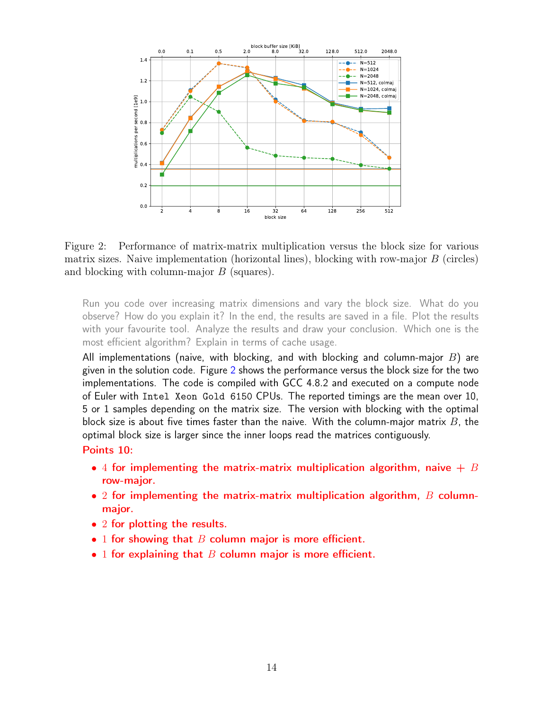

<span id="page-13-0"></span>Figure 2: Performance of matrix-matrix multiplication versus the block size for various matrix sizes. Naive implementation (horizontal lines), blocking with row-major  $B$  (circles) and blocking with column-major B (squares).

Run you code over increasing matrix dimensions and vary the block size. What do you observe? How do you explain it? In the end, the results are saved in a file. Plot the results with your favourite tool. Analyze the results and draw your conclusion. Which one is the most efficient algorithm? Explain in terms of cache usage.

All implementations (naive, with blocking, and with blocking and column-major  $B$ ) are given in the solution code. Figure [2](#page-13-0) shows the performance versus the block size for the two implementations. The code is compiled with GCC 4.8.2 and executed on a compute node of Euler with Intel Xeon Gold 6150 CPUs. The reported timings are the mean over 10, 5 or 1 samples depending on the matrix size. The version with blocking with the optimal block size is about five times faster than the naive. With the column-major matrix  $B$ , the optimal block size is larger since the inner loops read the matrices contiguously.

Points 10:

- 4 for implementing the matrix-matrix multiplication algorithm, naive  $+$  B row-major.
- 2 for implementing the matrix-matrix multiplication algorithm,  $B$  columnmajor.
- 2 for plotting the results.
- 1 for showing that  $B$  column major is more efficient.
- $\bullet$  1 for explaining that  $B$  column major is more efficient.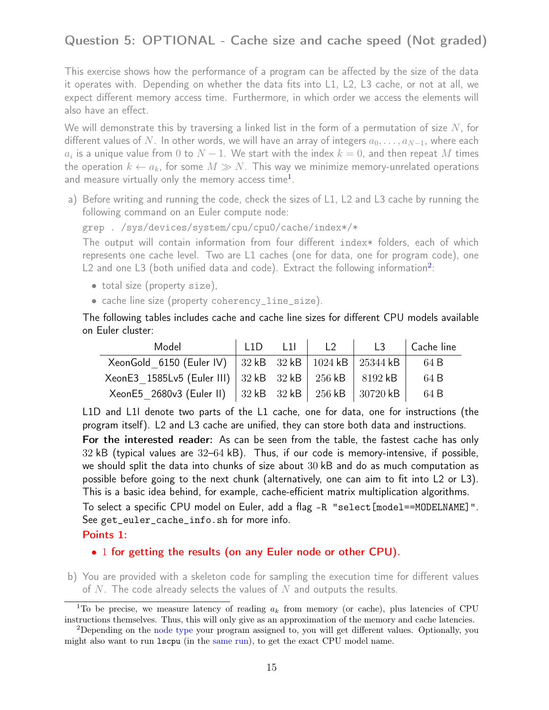### Question 5: OPTIONAL - Cache size and cache speed (Not graded)

This exercise shows how the performance of a program can be affected by the size of the data it operates with. Depending on whether the data fits into L1, L2, L3 cache, or not at all, we expect different memory access time. Furthermore, in which order we access the elements will also have an effect.

We will demonstrate this by traversing a linked list in the form of a permutation of size  $N$ , for different values of N. In other words, we will have an array of integers  $a_0, \ldots, a_{N-1}$ , where each  $a_i$  is a unique value from  $0$  to  $N-1.$  We start with the index  $k=0,$  and then repeat  $M$  times the operation  $k \leftarrow a_k$ , for some  $M \gg N$ . This way we minimize memory-unrelated operations and measure virtually only the memory access time<sup>[1](#page-0-0)</sup>.

a) Before writing and running the code, check the sizes of L1, L2 and L3 cache by running the following command on an Euler compute node:

grep . /sys/devices/system/cpu/cpu0/cache/index\*/\*

The output will contain information from four different index\* folders, each of which represents one cache level. Two are L1 caches (one for data, one for program code), one L[2](#page-0-0) and one L3 (both unified data and code). Extract the following information<sup>2</sup>:

- total size (property size),
- cache line size (property coherency\_line\_size).

The following tables includes cache and cache line sizes for different CPU models available on Euler cluster:

| Model                                                                        | $\perp$ L1D | $\Box$ 11 $\Box$ | $\vert$ 2 | L <sub>3</sub> | Cache line |
|------------------------------------------------------------------------------|-------------|------------------|-----------|----------------|------------|
| XeonGold 6150 (Euler IV) 32 kB 32 kB 32 kB 32 kB 32 kB                       |             |                  |           |                | 64 B       |
| XeonE3 1585Lv5 (Euler III) 32 kB 32 kB 32 kB 356 kB 3192 kB                  |             |                  |           |                | 64 B       |
| XeonE5 2680v3 (Euler II) $\vert$ 32 kB 32 kB $\vert$ 256 kB $\vert$ 30720 kB |             |                  |           |                | 64 B       |

L1D and L1I denote two parts of the L1 cache, one for data, one for instructions (the program itself). L2 and L3 cache are unified, they can store both data and instructions.

For the interested reader: As can be seen from the table, the fastest cache has only 32 kB (typical values are 32–64 kB). Thus, if our code is memory-intensive, if possible, we should split the data into chunks of size about 30 kB and do as much computation as possible before going to the next chunk (alternatively, one can aim to fit into L2 or L3). This is a basic idea behind, for example, cache-efficient matrix multiplication algorithms. To select a specific CPU model on Euler, add a flag -R "select[model==MODELNAME]". See get\_euler\_cache\_info.sh for more info.

### Points 1:

• 1 for getting the results (on any Euler node or other CPU).

b) You are provided with a skeleton code for sampling the execution time for different values of N. The code already selects the values of N and outputs the results.

<sup>&</sup>lt;sup>1</sup>To be precise, we measure latency of reading  $a_k$  from memory (or cache), plus latencies of CPU instructions themselves. Thus, this will only give as an approximation of the memory and cache latencies.

<sup>&</sup>lt;sup>2</sup>Depending on the [node type](https://scicomp.ethz.ch/wiki/Euler) your program assigned to, you will get different values. Optionally, you might also want to run lscpu (in the [same run\)](https://scicomp.ethz.ch/wiki/Using_the_batch_system), to get the exact CPU model name.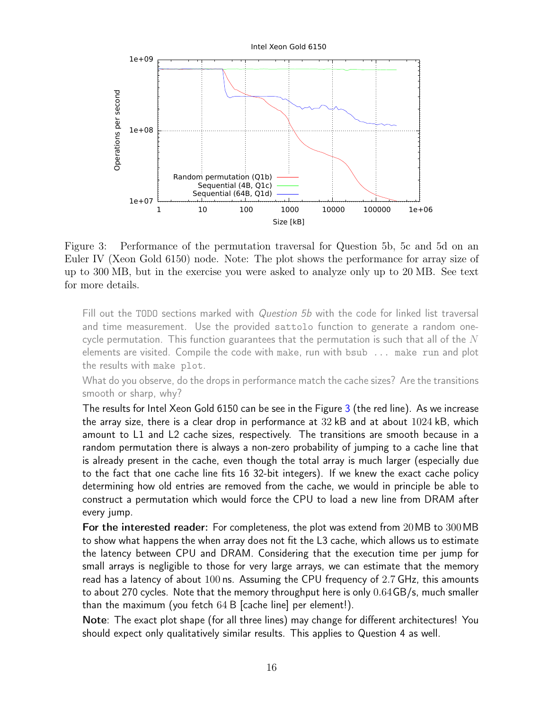

<span id="page-15-0"></span>Figure 3: Performance of the permutation traversal for Question 5b, 5c and 5d on an Euler IV (Xeon Gold 6150) node. Note: The plot shows the performance for array size of up to 300 MB, but in the exercise you were asked to analyze only up to 20 MB. See text for more details.

Fill out the TODO sections marked with *Question 5b* with the code for linked list traversal and time measurement. Use the provided sattolo function to generate a random onecycle permutation. This function guarantees that the permutation is such that all of the  $N$ elements are visited. Compile the code with make, run with bsub ... make run and plot the results with make plot.

What do you observe, do the drops in performance match the cache sizes? Are the transitions smooth or sharp, why?

The results for Intel Xeon Gold 6150 can be see in the Figure [3](#page-15-0) (the red line). As we increase the array size, there is a clear drop in performance at 32 kB and at about 1024 kB, which amount to L1 and L2 cache sizes, respectively. The transitions are smooth because in a random permutation there is always a non-zero probability of jumping to a cache line that is already present in the cache, even though the total array is much larger (especially due to the fact that one cache line fits 16 32-bit integers). If we knew the exact cache policy determining how old entries are removed from the cache, we would in principle be able to construct a permutation which would force the CPU to load a new line from DRAM after every jump.

For the interested reader: For completeness, the plot was extend from 20MB to 300MB to show what happens the when array does not fit the L3 cache, which allows us to estimate the latency between CPU and DRAM. Considering that the execution time per jump for small arrays is negligible to those for very large arrays, we can estimate that the memory read has a latency of about 100 ns. Assuming the CPU frequency of 2.7 GHz, this amounts to about 270 cycles. Note that the memory throughput here is only 0.64GB/s, much smaller than the maximum (you fetch 64 B [cache line] per element!).

Note: The exact plot shape (for all three lines) may change for different architectures! You should expect only qualitatively similar results. This applies to Question 4 as well.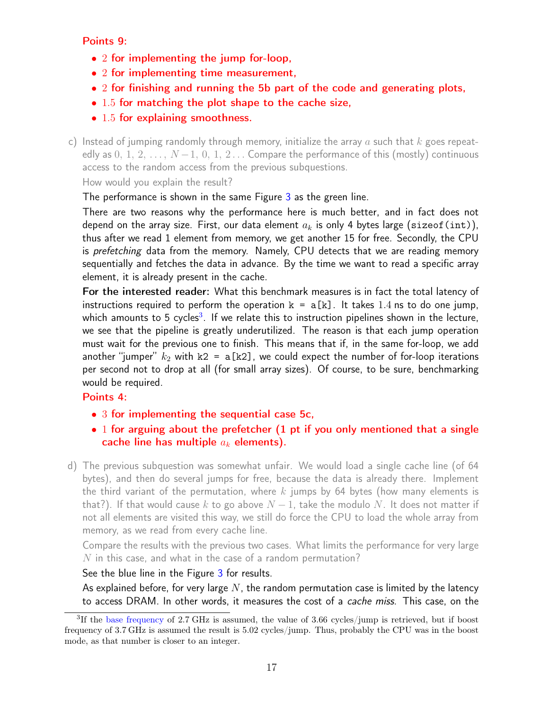Points 9:

- 2 for implementing the jump for-loop,
- 2 for implementing time measurement,
- 2 for finishing and running the 5b part of the code and generating plots,
- 1.5 for matching the plot shape to the cache size,
- 1.5 for explaining smoothness.
- c) Instead of jumping randomly through memory, initialize the array a such that k goes repeatedly as  $0, 1, 2, \ldots, N-1, 0, 1, 2 \ldots$  Compare the performance of this (mostly) continuous access to the random access from the previous subquestions.

How would you explain the result?

The performance is shown in the same Figure [3](#page-15-0) as the green line.

There are two reasons why the performance here is much better, and in fact does not depend on the array size. First, our data element  $a_k$  is only 4 bytes large (sizeof(int)), thus after we read 1 element from memory, we get another 15 for free. Secondly, the CPU is prefetching data from the memory. Namely, CPU detects that we are reading memory sequentially and fetches the data in advance. By the time we want to read a specific array element, it is already present in the cache.

For the interested reader: What this benchmark measures is in fact the total latency of instructions required to perform the operation  $k = a[k]$ . It takes 1.4 ns to do one jump, which amounts to 5 cycles<sup>[3](#page-0-0)</sup>. If we relate this to instruction pipelines shown in the lecture, we see that the pipeline is greatly underutilized. The reason is that each jump operation must wait for the previous one to finish. This means that if, in the same for-loop, we add another "jumper"  $k_2$  with  $k_2 = a[k_2]$ , we could expect the number of for-loop iterations per second not to drop at all (for small array sizes). Of course, to be sure, benchmarking would be required.

Points 4:

- 3 for implementing the sequential case 5c,
- $\bullet$  1 for arguing about the prefetcher (1 pt if you only mentioned that a single cache line has multiple  $a_k$  elements).
- d) The previous subquestion was somewhat unfair. We would load a single cache line (of 64 bytes), and then do several jumps for free, because the data is already there. Implement the third variant of the permutation, where  $k$  jumps by 64 bytes (how many elements is that?). If that would cause k to go above  $N-1$ , take the modulo N. It does not matter if not all elements are visited this way, we still do force the CPU to load the whole array from memory, as we read from every cache line.

Compare the results with the previous two cases. What limits the performance for very large  $N$  in this case, and what in the case of a random permutation?

See the blue line in the Figure [3](#page-15-0) for results.

As explained before, for very large  $N$ , the random permutation case is limited by the latency to access DRAM. In other words, it measures the cost of a cache miss. This case, on the

<sup>&</sup>lt;sup>3</sup>If the [base frequency](https://ark.intel.com/products/120490/Intel-Xeon-Gold-6150-Processor-24_75M-Cache-2_70-GHz) of 2.7 GHz is assumed, the value of 3.66 cycles/jump is retrieved, but if boost frequency of 3.7 GHz is assumed the result is 5.02 cycles/jump. Thus, probably the CPU was in the boost mode, as that number is closer to an integer.